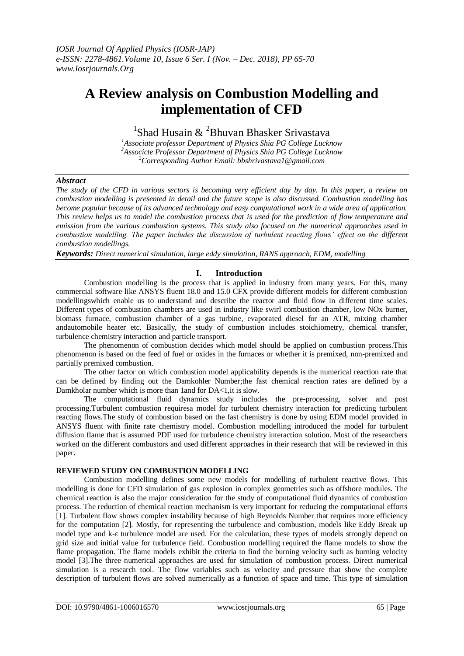# **A Review analysis on Combustion Modelling and implementation of CFD**

<sup>1</sup>Shad Husain & <sup>2</sup>Bhuvan Bhasker Srivastava

*<sup>1</sup>Associate professor Department of Physics Shia PG College Lucknow <sup>2</sup>Associcte Professor Department of Physics Shia PG College Lucknow <sup>2</sup>Corresponding Author Email: bbshrivastava1@gmail.com*

# *Abstract*

*The study of the CFD in various sectors is becoming very efficient day by day. In this paper, a review on combustion modelling is presented in detail and the future scope is also discussed. Combustion modelling has become popular because of its advanced technology and easy computational work in a wide area of application. This review helps us to model the combustion process that is used for the prediction of flow temperature and emission from the various combustion systems. This study also focused on the numerical approaches used in combustion modelling. The paper includes the discussion of turbulent reacting flows' effect on the different combustion modellings.*

*Keywords: Direct numerical simulation, large eddy simulation, RANS approach, EDM, modelling*

# **I. Introduction**

Combustion modelling is the process that is applied in industry from many years. For this, many commercial software like ANSYS fluent 18.0 and 15.0 CFX provide different models for different combustion modellingswhich enable us to understand and describe the reactor and fluid flow in different time scales. Different types of combustion chambers are used in industry like swirl combustion chamber, low NOx burner, biomass furnace, combustion chamber of a gas turbine, evaporated diesel for an ATR, mixing chamber andautomobile heater etc. Basically, the study of combustion includes stoichiometry, chemical transfer, turbulence chemistry interaction and particle transport.

The phenomenon of combustion decides which model should be applied on combustion process.This phenomenon is based on the feed of fuel or oxides in the furnaces or whether it is premixed, non-premixed and partially premixed combustion.

The other factor on which combustion model applicability depends is the numerical reaction rate that can be defined by finding out the Damkohler Number;the fast chemical reaction rates are defined by a Damkholar number which is more than 1and for DA<1,it is slow.

The computational fluid dynamics study includes the pre-processing, solver and post processing.Turbulent combustion requiresa model for turbulent chemistry interaction for predicting turbulent reacting flows.The study of combustion based on the fast chemistry is done by using EDM model provided in ANSYS fluent with finite rate chemistry model. Combustion modelling introduced the model for turbulent diffusion flame that is assumed PDF used for turbulence chemistry interaction solution. Most of the researchers worked on the different combustors and used different approaches in their research that will be reviewed in this paper**.**

# **REVIEWED STUDY ON COMBUSTION MODELLING**

Combustion modelling defines some new models for modelling of turbulent reactive flows. This modelling is done for CFD simulation of gas explosion in complex geometries such as offshore modules. The chemical reaction is also the major consideration for the study of computational fluid dynamics of combustion process. The reduction of chemical reaction mechanism is very important for reducing the computational efforts [1]. Turbulent flow shows complex instability because of high Reynolds Number that requires more efficiency for the computation [2]. Mostly, for representing the turbulence and combustion, models like Eddy Break up model type and  $k-\epsilon$  turbulence model are used. For the calculation, these types of models strongly depend on grid size and initial value for turbulence field. Combustion modelling required the flame models to show the flame propagation. The flame models exhibit the criteria to find the burning velocity such as burning velocity model [3].The three numerical approaches are used for simulation of combustion process. Direct numerical simulation is a research tool. The flow variables such as velocity and pressure that show the complete description of turbulent flows are solved numerically as a function of space and time. This type of simulation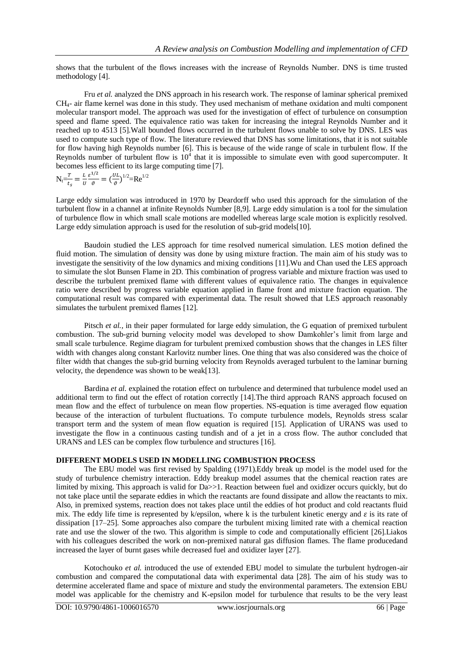shows that the turbulent of the flows increases with the increase of Reynolds Number. DNS is time trusted methodology [4].

Fru *et al.* analyzed the DNS approach in his research work. The response of laminar spherical premixed CH4- air flame kernel was done in this study. They used mechanism of methane oxidation and multi component molecular transport model. The approach was used for the investigation of effect of turbulence on consumption speed and flame speed. The equivalence ratio was taken for increasing the integral Reynolds Number and it reached up to 4513 [5].Wall bounded flows occurred in the turbulent flows unable to solve by DNS. LES was used to compute such type of flow. The literature reviewed that DNS has some limitations, that it is not suitable for flow having high Reynolds number [6]. This is because of the wide range of scale in turbulent flow. If the Reynolds number of turbulent flow is  $10<sup>4</sup>$  that it is impossible to simulate even with good supercomputer. It becomes less efficient to its large computing time [7].

$$
N_t = \frac{r}{t_s} = \frac{L}{U} \frac{\varepsilon^{1/2}}{\vartheta} = (\frac{UL}{\vartheta})^{1/2} = Re^{1/2}
$$

Large eddy simulation was introduced in 1970 by Deardorff who used this approach for the simulation of the turbulent flow in a channel at infinite Reynolds Number [8,9]. Large eddy simulation is a tool for the simulation of turbulence flow in which small scale motions are modelled whereas large scale motion is explicitly resolved. Large eddy simulation approach is used for the resolution of sub-grid models [10].

Baudoin studied the LES approach for time resolved numerical simulation. LES motion defined the fluid motion. The simulation of density was done by using mixture fraction. The main aim of his study was to investigate the sensitivity of the low dynamics and mixing conditions [11].Wu and Chan used the LES approach to simulate the slot Bunsen Flame in 2D. This combination of progress variable and mixture fraction was used to describe the turbulent premixed flame with different values of equivalence ratio. The changes in equivalence ratio were described by progress variable equation applied in flame front and mixture fraction equation. The computational result was compared with experimental data. The result showed that LES approach reasonably simulates the turbulent premixed flames [12].

Pitsch *et al.*, in their paper formulated for large eddy simulation, the G equation of premixed turbulent combustion. The sub-grid burning velocity model was developed to show Damkohler's limit from large and small scale turbulence. Regime diagram for turbulent premixed combustion shows that the changes in LES filter width with changes along constant Karlovitz number lines. One thing that was also considered was the choice of filter width that changes the sub-grid burning velocity from Reynolds averaged turbulent to the laminar burning velocity, the dependence was shown to be weak[13].

Bardina *et al.* explained the rotation effect on turbulence and determined that turbulence model used an additional term to find out the effect of rotation correctly [14].The third approach RANS approach focused on mean flow and the effect of turbulence on mean flow properties. NS-equation is time averaged flow equation because of the interaction of turbulent fluctuations. To compute turbulence models, Reynolds stress scalar transport term and the system of mean flow equation is required [15]. Application of URANS was used to investigate the flow in a continuous casting tundish and of a jet in a cross flow. The author concluded that URANS and LES can be complex flow turbulence and structures [16].

### **DIFFERENT MODELS USED IN MODELLING COMBUSTION PROCESS**

The EBU model was first revised by Spalding (1971).Eddy break up model is the model used for the study of turbulence chemistry interaction. Eddy breakup model assumes that the chemical reaction rates are limited by mixing. This approach is valid for Da>>1. Reaction between fuel and oxidizer occurs quickly, but do not take place until the separate eddies in which the reactants are found dissipate and allow the reactants to mix. Also, in premixed systems, reaction does not takes place until the eddies of hot product and cold reactants fluid mix. The eddy life time is represented by k/epsilon, where k is the turbulent kinetic energy and  $\varepsilon$  is its rate of dissipation [17–25]. Some approaches also compare the turbulent mixing limited rate with a chemical reaction rate and use the slower of the two. This algorithm is simple to code and computationally efficient [26].Liakos with his colleagues described the work on non-premixed natural gas diffusion flames. The flame producedand increased the layer of burnt gases while decreased fuel and oxidizer layer [27].

Kotochouko *et al.* introduced the use of extended EBU model to simulate the turbulent hydrogen-air combustion and compared the computational data with experimental data [28]. The aim of his study was to determine accelerated flame and space of mixture and study the environmental parameters. The extension EBU model was applicable for the chemistry and K-epsilon model for turbulence that results to be the very least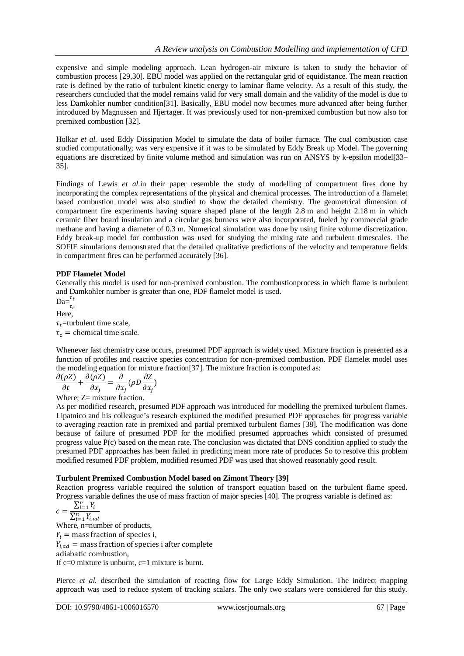expensive and simple modeling approach. Lean hydrogen-air mixture is taken to study the behavior of combustion process [29,30]. EBU model was applied on the rectangular grid of equidistance. The mean reaction rate is defined by the ratio of turbulent kinetic energy to laminar flame velocity. As a result of this study, the researchers concluded that the model remains valid for very small domain and the validity of the model is due to less Damkohler number condition[31]. Basically, EBU model now becomes more advanced after being further introduced by Magnussen and Hjertager. It was previously used for non-premixed combustion but now also for premixed combustion [32].

Holkar *et al.* used Eddy Dissipation Model to simulate the data of boiler furnace. The coal combustion case studied computationally; was very expensive if it was to be simulated by Eddy Break up Model. The governing equations are discretized by finite volume method and simulation was run on ANSYS by k-epsilon model[33– 35].

Findings of Lewis *et al.*in their paper resemble the study of modelling of compartment fires done by incorporating the complex representations of the physical and chemical processes. The introduction of a flamelet based combustion model was also studied to show the detailed chemistry. The geometrical dimension of compartment fire experiments having square shaped plane of the length 2.8 m and height 2.18 m in which ceramic fiber board insulation and a circular gas burners were also incorporated, fueled by commercial grade methane and having a diameter of 0.3 m. Numerical simulation was done by using finite volume discretization. Eddy break-up model for combustion was used for studying the mixing rate and turbulent timescales. The SOFIE simulations demonstrated that the detailed qualitative predictions of the velocity and temperature fields in compartment fires can be performed accurately [36].

# **PDF Flamelet Model**

Generally this model is used for non-premixed combustion. The combustionprocess in which flame is turbulent and Damkohler number is greater than one, PDF flamelet model is used.

 $Da = \frac{\tau}{\tau}$ Here,  $\tau_t$ =turbulent time scale,  $\tau_c$  = chemical time scale.

Whenever fast chemistry case occurs, presumed PDF approach is widely used. Mixture fraction is presented as a function of profiles and reactive species concentration for non-premixed combustion. PDF flamelet model uses the modeling equation for mixture fraction[37]. The mixture fraction is computed as:

$$
\frac{\partial(\rho Z)}{\partial t} + \frac{\partial(\rho Z)}{\partial x_j} = \frac{\partial}{\partial x_j} (\rho D \frac{\partial Z}{\partial x_j})
$$

Where:  $Z=$  mixture fraction.

As per modified research, presumed PDF approach was introduced for modelling the premixed turbulent flames. Lipatnico and his colleague's research explained the modified presumed PDF approaches for progress variable to averaging reaction rate in premixed and partial premixed turbulent flames [38]. The modification was done because of failure of presumed PDF for the modified presumed approaches which consisted of presumed progress value P(c) based on the mean rate. The conclusion was dictated that DNS condition applied to study the presumed PDF approaches has been failed in predicting mean more rate of produces So to resolve this problem modified resumed PDF problem, modified resumed PDF was used that showed reasonably good result.

# **Turbulent Premixed Combustion Model based on Zimont Theory [39]**

Reaction progress variable required the solution of transport equation based on the turbulent flame speed. Progress variable defines the use of mass fraction of major species [40]. The progress variable is defined as:

$$
c = \frac{\sum_{i=1}^{n} Y_i}{\sum_{i=1}^{n} Y_{i,ad}}
$$

Where, n=number of products,  $Y_i$  = mass fraction of species i,  $Y_{i,ad}$  = mass fraction of species i after complete

adiabatic combustion,

If  $c=0$  mixture is unburnt,  $c=1$  mixture is burnt.

Pierce *et al.* described the simulation of reacting flow for Large Eddy Simulation. The indirect mapping approach was used to reduce system of tracking scalars. The only two scalars were considered for this study.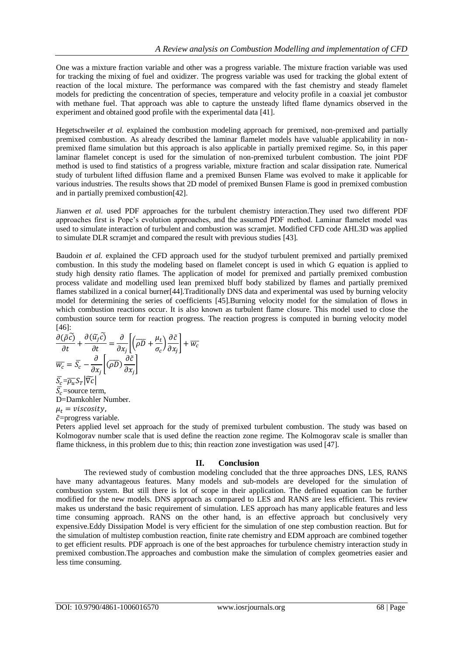One was a mixture fraction variable and other was a progress variable. The mixture fraction variable was used for tracking the mixing of fuel and oxidizer. The progress variable was used for tracking the global extent of reaction of the local mixture. The performance was compared with the fast chemistry and steady flamelet models for predicting the concentration of species, temperature and velocity profile in a coaxial jet combustor with methane fuel. That approach was able to capture the unsteady lifted flame dynamics observed in the experiment and obtained good profile with the experimental data [41].

Hegetschweiler *et al.* explained the combustion modeling approach for premixed, non-premixed and partially premixed combustion. As already described the laminar flamelet models have valuable applicability in nonpremixed flame simulation but this approach is also applicable in partially premixed regime. So, in this paper laminar flamelet concept is used for the simulation of non-premixed turbulent combustion. The joint PDF method is used to find statistics of a progress variable, mixture fraction and scalar dissipation rate. Numerical study of turbulent lifted diffusion flame and a premixed Bunsen Flame was evolved to make it applicable for various industries. The results shows that 2D model of premixed Bunsen Flame is good in premixed combustion and in partially premixed combustion[42].

Jianwen *et al.* used PDF approaches for the turbulent chemistry interaction.They used two different PDF approaches first is Pope's evolution approaches, and the assumed PDF method. Laminar flamelet model was used to simulate interaction of turbulent and combustion was scramjet. Modified CFD code AHL3D was applied to simulate DLR scramjet and compared the result with previous studies [43].

Baudoin *et al.* explained the CFD approach used for the studyof turbulent premixed and partially premixed combustion. In this study the modeling based on flamelet concept is used in which G equation is applied to study high density ratio flames. The application of model for premixed and partially premixed combustion process validate and modelling used lean premixed bluff body stabilized by flames and partially premixed flames stabilized in a conical burner[44].Traditionally DNS data and experimental was used by burning velocity model for determining the series of coefficients [45].Burning velocity model for the simulation of flows in which combustion reactions occur. It is also known as turbulent flame closure. This model used to close the combustion source term for reaction progress. The reaction progress is computed in burning velocity model [46]:

$$
\frac{\partial(\tilde{\rho}\tilde{c})}{\partial t} + \frac{\partial(\tilde{u}_j\tilde{c})}{\partial t} = \frac{\partial}{\partial x_j} \left[ \left( \overline{\rho} \overline{D} + \frac{\mu_t}{\sigma_c} \right) \frac{\partial \tilde{c}}{\partial x_j} \right] + \overline{w_c}
$$
\n
$$
\overline{w_c} = \overline{S_c} - \frac{\partial}{\partial x_j} \left[ \overline{\rho} \overline{D} \right] \frac{\partial \tilde{c}}{\partial x_j}
$$
\n
$$
\overline{S_c} = \overline{p_u} S_T \left| \overline{\nabla} c \right|
$$
\n
$$
\overline{S_c} = \text{source term},
$$
\n
$$
\text{D} = \text{Damkohler Number}.
$$
\n
$$
\mu_t = \text{viscosity},
$$

 $\tilde{c}$ =progress variable.

Peters applied level set approach for the study of premixed turbulent combustion. The study was based on Kolmogorav number scale that is used define the reaction zone regime. The Kolmogorav scale is smaller than flame thickness, in this problem due to this; thin reaction zone investigation was used [47].

# **II. Conclusion**

The reviewed study of combustion modeling concluded that the three approaches DNS, LES, RANS have many advantageous features. Many models and sub-models are developed for the simulation of combustion system. But still there is lot of scope in their application. The defined equation can be further modified for the new models. DNS approach as compared to LES and RANS are less efficient. This review makes us understand the basic requirement of simulation. LES approach has many applicable features and less time consuming approach. RANS on the other hand, is an effective approach but conclusively very expensive.Eddy Dissipation Model is very efficient for the simulation of one step combustion reaction. But for the simulation of multistep combustion reaction, finite rate chemistry and EDM approach are combined together to get efficient results. PDF approach is one of the best approaches for turbulence chemistry interaction study in premixed combustion.The approaches and combustion make the simulation of complex geometries easier and less time consuming.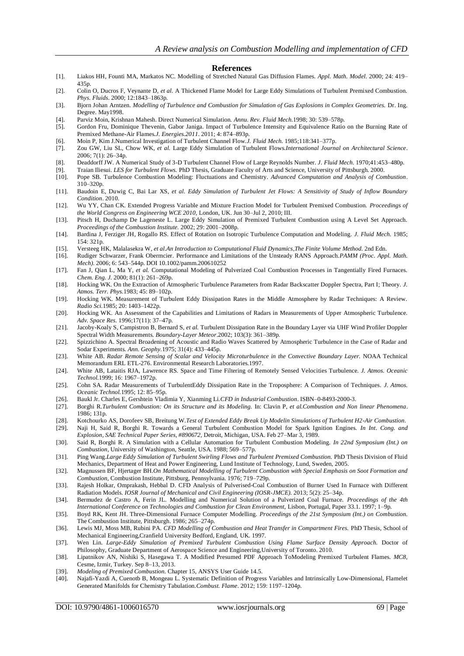#### **References**

- [1]. Liakos HH, Founti MA, Markatos NC. Modelling of Stretched Natural Gas Diffusion Flames. *Appl. Math. Model*. 2000; 24: 419– 435p.
- [2]. Colin O, Ducros F, Veynante D, *et al.* A Thickened Flame Model for Large Eddy Simulations of Turbulent Premixed Combustion. *Phys. Fluids*. 2000; 12:1843–1863p.
- [3]. Bjorn Johan Arntzen. *Modelling of Turbulence and Combustion for Simulation of Gas Explosions in Complex Geometries.* Dr. Ing. Degree. May1998.
- [4]. Parviz Moin, Krishnan Mahesh. Direct Numerical Simulation. *Annu. Rev. Fluid Mech.*1998; 30: 539–578p.
- [5]. Gordon Fru, Dominique Thevenin, Gabor Janiga. Impact of Turbulence Intensity and Equivalence Ratio on the Burning Rate of Premixed Methane-Air Flames.*J. Energies.2011*. 2011; 4: 874–893p.
- [6]. Moin P, Kim J.Numerical Investigation of Turbulent Channel Flow.*J. Fluid Mech.* 1985;118:341–377p.
- [7]. Zou GW, Liu SL, Chow WK, *et al.* Large Eddy Simulation of Turbulent Flows.*International Journal on Architectural Science*. 2006; 7(1): 26–34p.
- [8]. Deaddorff JW. A Numerical Study of 3-D Turbulent Channel Flow of Large Reynolds Number. *J. Fluid Mech.* 1970;41:453–480p.
- [9]. Traian Iliesui. *LES for Turbulent Flows.* PhD Thesis, Graduate Faculty of Arts and Science, University of Pittsburgh. 2000.
- [10]. Pope SB. Turbulence Combustion Modeling: Fluctuations and Chemistry. *Advanced Computation and Analysis of Combustion*. 310–320p.
- [11]. Baudoin E, Duwig C, Bai Lar XS, *et al. Eddy Simulation of Turbulent Jet Flows: A Sensitivity of Study of Inflow Boundary Condition*. 2010.
- [12]. Wu YY, Chan CK. Extended Progress Variable and Mixture Fraction Model for Turbulent Premixed Combustion. *Proceedings of the World Congress on Engineering WCE 2010,* London, UK. Jun 30–Jul 2, 2010; III.
- [13]. Pitsch H, Duchamp De Lageneste L. Large Eddy Simulation of Premixed Turbulent Combustion using A Level Set Approach. *Proceedings of the Combustion Institute.* 2002; 29: 2001–2008p.
- [14]. Bardina J, Ferziger JH, Rogallo RS. Effect of Rotation on Isotropic Turbulence Computation and Modeling. *J. Fluid Mech.* 1985; 154: 321p.
- [15]. Versteeg HK, Malalasekra W, *et al.An Introduction to Computational Fluid Dynamics*,*The Finite Volume Method.* 2nd Edn.
- [16]. Rudiger Schwarzer, Frank Obermcier. Performance and Limitations of the Unsteady RANS Approach.*PAMM (Proc. Appl. Math. Mech).* 2006; 6: 543–544p. DOI 10.1002/pamm.200610252
- [17]. Fan J, Qian L, Ma Y, *et al.* Computational Modeling of Pulverized Coal Combustion Processes in Tangentially Fired Furnaces. *Chem. Eng. J.* 2000; 81(1): 261–269p.
- [18]. Hocking WK. On the Extraction of Atmospheric Turbulence Parameters from Radar Backscatter Doppler Spectra, Part I; Theory. *J. Atmos. Terr. Phys.*1983; 45: 89–102p.
- [19]. Hocking WK. Measurement of Turbulent Eddy Dissipation Rates in the Middle Atmosphere by Radar Techniques: A Review. *Radio Sci.*1985; 20: 1403–1422p.
- [20]. Hocking WK. An Assessment of the Capabilities and Limitations of Radars in Measurements of Upper Atmospheric Turbulence. *Adv. Space Res.* 1996;17(11): 37–47p.
- [21]. Jacoby-Koaly S, Campistron B, Bernard S, *et al.* Turbulent Dissipation Rate in the Boundary Layer via UHF Wind Profiler Doppler Spectral Width Measurements. *Boundary-Laye[r Meteor](http://link.springer.com/journal/10546)*.2002; 103(3): 361–389p.
- [22]. Spizzichino A. Spectral Broadening of Acoustic and Radio Waves Scattered by Atmospheric Turbulence in the Case of Radar and Sodar Experiments. *Ann. Geophy.*1975; 31(4): 433–445p.
- [23]. White AB. *Radar Remote Sensing of Scalar and Velocity Microturbulence in the Convective Boundary Layer.* NOAA Technical Memorandum ERL ETL-276. Environmental Research Laboratories.1997.
- [24]. White AB, Lataitis RJA, Lawrence RS. Space and Time Filtering of Remotely Sensed Velocities Turbulence. *J. Atmos. Oceanic Technol.*1999; 16: 1967–1972p.
- [25]. Cohn SA. Radar Measurements of TurbulentEddy Dissipation Rate in the Troposphere: A Comparison of Techniques. *J. Atmos. Oceanic Technol.*1995; 12: 85–95p.
- [26]. Baukl Jr. Charles E, Gershtein Vladimia Y, Xianming Li.*CFD in Industrial Combustion*. ISBN–0-8493-2000-3.
- [27]. Borghi R.*Turbulent Combustion: On its Structure and its Modeling.* In: Clavin P, *et al.Combustion and Non linear Phenomena*. 1986; 131p.
- [28]. Kotchourko AS, Dorofeev SB, Breitung W.*Test of Extended Eddy Break Up Modelin Simulations of Turbulent H2-Air Combustion*.
- [29]. Naji H, Said R, Borghi R. Towards a General Turbulent Combustion Model for Spark Ignition Engines. *In Int. Cong. and Explosion, SAE Technical Paper Series, #890672,* Detroit, Michigan, USA. Feb 27–Mar 3, 1989.
- [30]. Said R, Borghi R. A Simulation with a Cellular Automation for Turbulent Combustion Modeling. *In 22nd Symposium (Int.) on Combustion*, University of Washington, Seattle, USA. 1988; 569–577p.
- [31]. Ping Wang.*Large Eddy Simulation of Turbulent Swirling Flows and Turbulent Premixed Combustion.* PhD Thesis Division of Fluid Mechanics, Department of Heat and Power Engineering, Lund Institute of Technology, Lund, Sweden, 2005.
- [32]. Magnussen BF, Hjertager BH.*On Mathematical Modelling of Turbulent Combustion with Special Emphasis on Soot Formation and Combustion,* Combustion Institute, Pittsburg, Pennsylvania. 1976; 719–729p.
- [33]. Rajesh Holkar, Omprakash, Hebbal D. CFD Analysis of Pulverised-Coal Combustion of Burner Used In Furnace with Different Radiation Models. *IOSR Journal of Mechanical and Civil Engineering (IOSR-JMCE).* 2013; 5(2): 25–34p.
- [34]. Bermudez de Castro A, Ferin JL. Modelling and Numerical Solution of a Pulverized Coal Furnace. *Proceedings of the 4th International Conference on Technologies and Combustion for Clean Environment,* Lisbon, Portugal, Paper 33.1. 1997; 1–9p.
- [35]. Boyd RK, Kent JH. Three-Dimensional Furnace Computer Modelling. *Proceedings of the 21st Symposium (Int.) on Combustion.* The Combustion Institute, Pittsburgh. 1986; 265–274p.
- [36]. Lewis MJ, Moss MB, Rubini PA. *CFD Modelling of Combustion and Heat Transfer in Compartment Fires.* PhD Thesis, School of Mechanical Engineering,Cranfield University Bedford, England, UK. 1997.
- [37]. Wen Lin. *Large-Eddy Simulation of Premixed Turbulent Combustion Using Flame Surface Density Approach.* Doctor of Philosophy, Graduate Department of Aerospace Science and Engineering,University of Toronto. 2010.
- [38]. Lipatnikov AN, Nishiki S, Hasegawa T. A Modified Presumed PDF Approach ToModeling Premixed Turbulent Flames. *MC8,* Cesme, Izmir, Turkey. Sep 8–13, 2013.
- [39]. *Modeling of Premixed Combustion.* Chapter 15, ANSYS User Guide 14.5.
- [40]. Najafi-Yazdi A, Cuenotb B, Mongeau L. Systematic Definition of Progress Variables and Intrinsically Low-Dimensional, Flamelet Generated Manifolds for Chemistry Tabulation.*Combust. Flame*. 2012; 159: 1197–1204p.